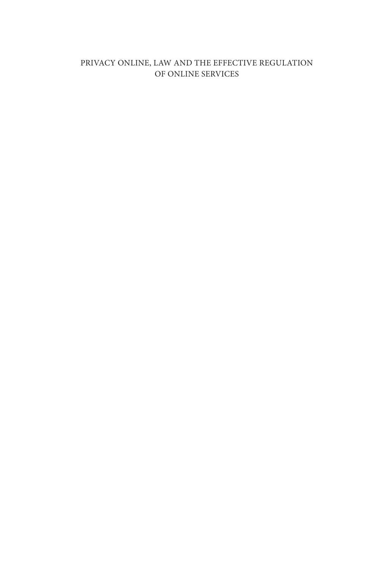#### PRIVACY ONLINE, LAW AND THE EFFECTIVE REGULATION OF ONLINE SERVICES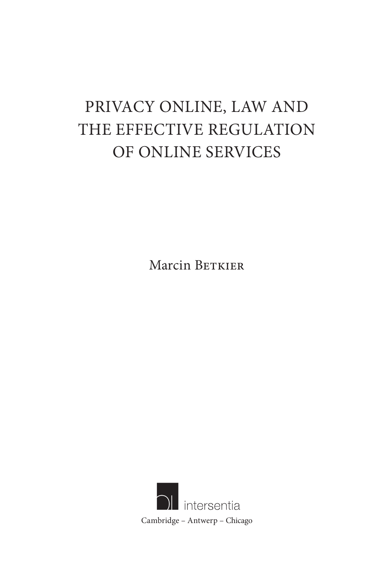# PRIVACY ONLINE, LAW AND THE EFFECTIVE REGULATION OF ONLINE SERVICES

Marcin BETKIER

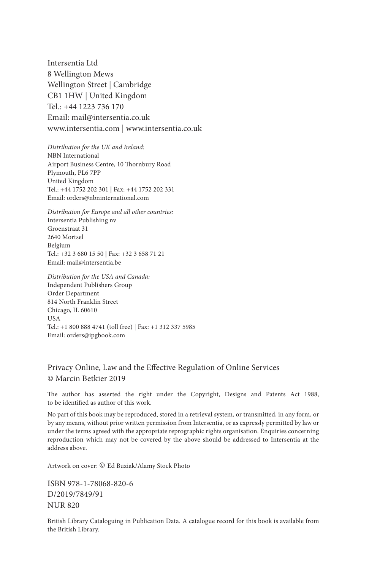Intersentia Ltd 8 Wellington Mews Wellington Street | Cambridge CB1 1HW | United Kingdom Tel.: +44 1223 736 170 Email: mail@intersentia.co.uk www.intersentia.com | www.intersentia.co.uk

*Distribution for the UK and Ireland:* NBN International Airport Business Centre, 10 Thornbury Road Plymouth, PL6 7PP United Kingdom Tel.: +44 1752 202 301 | Fax: +44 1752 202 331 Email: orders@nbninternational.com

*Distribution for Europe and all other countries:* Intersentia Publishing nv Groenstraat 31 2640 Mortsel Belgium Tel.: +32 3 680 15 50 | Fax: +32 3 658 71 21 Email: mail@intersentia.be

*Distribution for the USA and Canada:* Independent Publishers Group Order Department 814 North Franklin Street Chicago, IL 60610 **USA** Tel.: +1 800 888 4741 (toll free) | Fax: +1 312 337 5985 Email: orders@ipgbook.com

#### Privacy Online, Law and the Effective Regulation of Online Services © Marcin Betkier 2019

The author has asserted the right under the Copyright, Designs and Patents Act 1988, to be identified as author of this work.

 No part of this book may be reproduced, stored in a retrieval system, or transmitted, in any form, or by any means, without prior written permission from Intersentia, or as expressly permitted by law or under the terms agreed with the appropriate reprographic rights organisation. Enquiries concerning reproduction which may not be covered by the above should be addressed to Intersentia at the address above.

Artwork on cover: © Ed Buziak/Alamy Stock Photo

 ISBN 978-1-78068-820-6 D/2019/7849/91 NUR 820

 British Library Cataloguing in Publication Data. A catalogue record for this book is available from the British Library.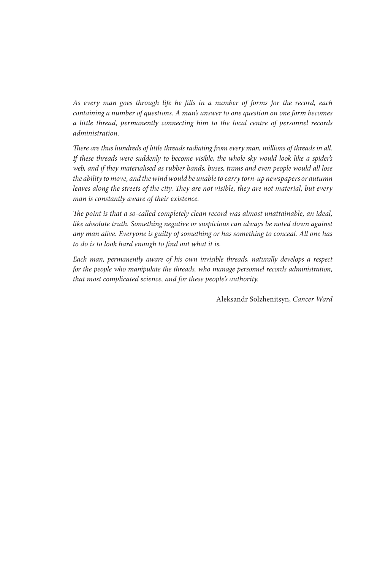As every man goes through life he fills in a number of forms for the record, each *containing a number of questions. A man's answer to one question on one form becomes a little thread, permanently connecting him to the local centre of personnel records administration.*

There are thus hundreds of little threads radiating from every man, millions of threads in all. If these threads were suddenly to become visible, the whole sky would look like a spider's *web, and if they materialised as rubber bands, buses, trams and even people would all lose the ability to move, and the wind would be unable to carry torn-up newspapers or autumn leaves along the streets of the city. They are not visible, they are not material, but every man is constantly aware of their existence.*

The point is that a so-called completely clean record was almost unattainable, an ideal, *like absolute truth. Something negative or suspicious can always be noted down against any man alive. Everyone is guilty of something or has something to conceal. All one has*  to do is to look hard enough to find out what it is.

*Each man, permanently aware of his own invisible threads, naturally develops a respect for the people who manipulate the threads, who manage personnel records administration,*  that most complicated science, and for these people's authority.

Aleksandr Solzhenitsyn, *Cancer Ward*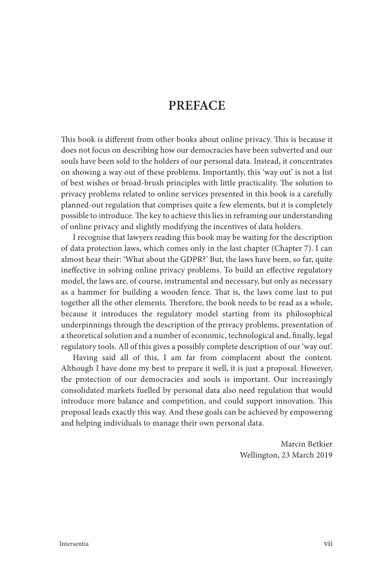### **PREFACE**

This book is different from other books about online privacy. This is because it does not focus on describing how our democracies have been subverted and our souls have been sold to the holders of our personal data. Instead, it concentrates on showing a way out of these problems. Importantly, this 'way out' is not a list of best wishes or broad-brush principles with little practicality. The solution to privacy problems related to online services presented in this book is a carefully planned-out regulation that comprises quite a few elements, but it is completely possible to introduce. The key to achieve this lies in reframing our understanding of online privacy and slightly modifying the incentives of data holders.

 I recognise that lawyers reading this book may be waiting for the description of data protection laws, which comes only in the last chapter (Chapter 7). I can almost hear their: 'What about the GDPR?' But, the laws have been, so far, quite ineffective in solving online privacy problems. To build an effective regulatory model, the laws are, of course, instrumental and necessary, but only as necessary as a hammer for building a wooden fence. That is, the laws come last to put together all the other elements. Therefore, the book needs to be read as a whole, because it introduces the regulatory model starting from its philosophical underpinnings through the description of the privacy problems, presentation of a theoretical solution and a number of economic, technological and, finally, legal regulatory tools. All of this gives a possibly complete description of our 'way out'.

 Having said all of this, I am far from complacent about the content. Although I have done my best to prepare it well, it is just a proposal. However, the protection of our democracies and souls is important. Our increasingly consolidated markets fuelled by personal data also need regulation that would introduce more balance and competition, and could support innovation. This proposal leads exactly this way. And these goals can be achieved by empowering and helping individuals to manage their own personal data.

> Marcin Betkier Wellington, 23 March 2019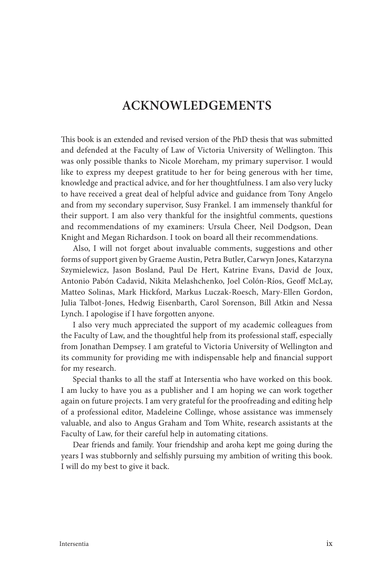## **ACKNOWLEDGEMENTS**

This book is an extended and revised version of the PhD thesis that was submitted and defended at the Faculty of Law of Victoria University of Wellington. This was only possible thanks to Nicole Moreham, my primary supervisor. I would like to express my deepest gratitude to her for being generous with her time, knowledge and practical advice, and for her thoughtfulness. I am also very lucky to have received a great deal of helpful advice and guidance from Tony Angelo and from my secondary supervisor, Susy Frankel. I am immensely thankful for their support. I am also very thankful for the insightful comments, questions and recommendations of my examiners: Ursula Cheer, Neil Dodgson, Dean Knight and Megan Richardson. I took on board all their recommendations.

 Also, I will not forget about invaluable comments, suggestions and other forms of support given by Graeme Austin, Petra Butler, Carwyn Jones, Katarzyna Szymielewicz, Jason Bosland, Paul De Hert, Katrine Evans, David de Joux, Antonio Pabón Cadavid, Nikita Melashchenko, Joel Colón-Ríos, Geoff McLay, Matteo Solinas, Mark Hickford, Markus Luczak-Roesch, Mary-Ellen Gordon, Julia Talbot-Jones, Hedwig Eisenbarth, Carol Sorenson, Bill Atkin and Nessa Lynch. I apologise if I have forgotten anyone.

 I also very much appreciated the support of my academic colleagues from the Faculty of Law, and the thoughtful help from its professional staff, especially from Jonathan Dempsey. I am grateful to Victoria University of Wellington and its community for providing me with indispensable help and financial support for my research.

 Special thanks to all the staff at Intersentia who have worked on this book. I am lucky to have you as a publisher and I am hoping we can work together again on future projects. I am very grateful for the proofreading and editing help of a professional editor, Madeleine Collinge, whose assistance was immensely valuable, and also to Angus Graham and Tom White, research assistants at the Faculty of Law, for their careful help in automating citations.

 Dear friends and family. Your friendship and aroha kept me going during the years I was stubbornly and selfishly pursuing my ambition of writing this book. I will do my best to give it back.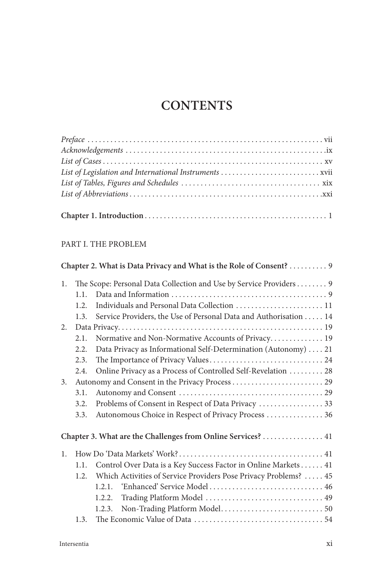## **CONTENTS**

#### PART I. THE PROBLEM

|                |                                                                     | Chapter 2. What is Data Privacy and What is the Role of Consent?  9 |  |
|----------------|---------------------------------------------------------------------|---------------------------------------------------------------------|--|
| 1.             | The Scope: Personal Data Collection and Use by Service Providers  9 |                                                                     |  |
|                | 1.1.                                                                |                                                                     |  |
|                | 1.2.                                                                | Individuals and Personal Data Collection  11                        |  |
|                | 1.3.                                                                | Service Providers, the Use of Personal Data and Authorisation 14    |  |
| 2.             |                                                                     |                                                                     |  |
|                | 2.1.                                                                | Normative and Non-Normative Accounts of Privacy 19                  |  |
|                | 2.2.                                                                | Data Privacy as Informational Self-Determination (Autonomy) 21      |  |
|                | 2.3.                                                                |                                                                     |  |
|                | 2.4.                                                                | Online Privacy as a Process of Controlled Self-Revelation  28       |  |
| 3 <sub>1</sub> |                                                                     |                                                                     |  |
|                | 3.1.                                                                |                                                                     |  |
|                | 3.2.                                                                | Problems of Consent in Respect of Data Privacy  33                  |  |
|                | 3.3.                                                                | Autonomous Choice in Respect of Privacy Process  36                 |  |
|                |                                                                     | Chapter 3. What are the Challenges from Online Services?  41        |  |
| 1.             |                                                                     |                                                                     |  |
|                | 1.1.                                                                | Control Over Data is a Key Success Factor in Online Markets 41      |  |
|                | 1.2.                                                                | Which Activities of Service Providers Pose Privacy Problems?  45    |  |
|                |                                                                     | 'Enhanced' Service Model  46<br>1.2.1.                              |  |
|                |                                                                     |                                                                     |  |
|                |                                                                     |                                                                     |  |
|                | 1.3.                                                                |                                                                     |  |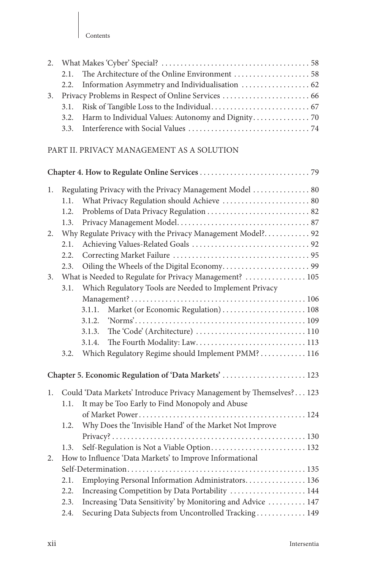#### PART II. PRIVACY MANAGEMENT AS A SOLUTION

| 1. |      | Regulating Privacy with the Privacy Management Model  80             |
|----|------|----------------------------------------------------------------------|
|    | 1.1. | What Privacy Regulation should Achieve  80                           |
|    | 1.2. |                                                                      |
|    | 1.3. |                                                                      |
| 2. |      | Why Regulate Privacy with the Privacy Management Model? 92           |
|    | 2.1. |                                                                      |
|    | 2.2. |                                                                      |
|    | 2.3. |                                                                      |
| 3. |      | What is Needed to Regulate for Privacy Management?  105              |
|    | 3.1. | Which Regulatory Tools are Needed to Implement Privacy               |
|    |      |                                                                      |
|    |      | Market (or Economic Regulation)  108<br>3.1.1.                       |
|    |      | 3.1.2.                                                               |
|    |      | 3.1.3.                                                               |
|    |      | The Fourth Modality: Law 113<br>3.1.4.                               |
|    | 3.2. | Which Regulatory Regime should Implement PMM? 116                    |
|    |      | Chapter 5. Economic Regulation of 'Data Markets'  123                |
| 1. |      | Could 'Data Markets' Introduce Privacy Management by Themselves? 123 |
|    | 1.1. | It may be Too Early to Find Monopoly and Abuse                       |
|    |      |                                                                      |
|    | 1.2. | Why Does the 'Invisible Hand' of the Market Not Improve              |
|    |      |                                                                      |
|    | 1.3. |                                                                      |
| 2. |      | How to Influence 'Data Markets' to Improve Informational             |
|    |      |                                                                      |
|    | 2.1. | Employing Personal Information Administrators 136                    |
|    | 2.2. | Increasing Competition by Data Portability  144                      |
|    | 2.3. | Increasing 'Data Sensitivity' by Monitoring and Advice  147          |
|    | 2.4. | Securing Data Subjects from Uncontrolled Tracking 149                |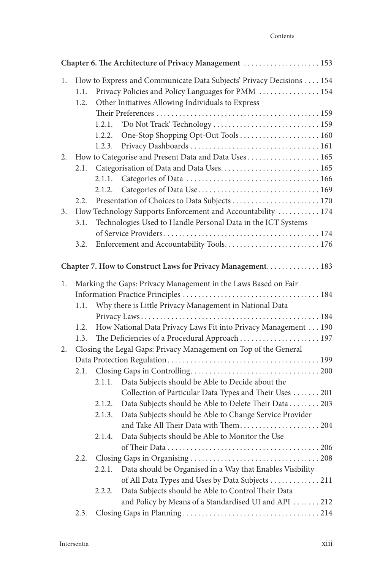|    |      |        | Chapter 6. The Architecture of Privacy Management  153              |
|----|------|--------|---------------------------------------------------------------------|
| 1. |      |        | How to Express and Communicate Data Subjects' Privacy Decisions 154 |
|    | 1.1. |        | Privacy Policies and Policy Languages for PMM  154                  |
|    | 1.2. |        | Other Initiatives Allowing Individuals to Express                   |
|    |      |        |                                                                     |
|    |      |        | 1.2.1. 'Do Not Track' Technology  159                               |
|    |      | 1.2.2. | One-Stop Shopping Opt-Out Tools 160                                 |
|    |      | 1.2.3. |                                                                     |
| 2. |      |        |                                                                     |
|    | 2.1. |        | Categorisation of Data and Data Uses 165                            |
|    |      |        |                                                                     |
|    |      | 2.1.2. |                                                                     |
|    | 2.2. |        |                                                                     |
| 3. |      |        | How Technology Supports Enforcement and Accountability  174         |
|    | 3.1. |        | Technologies Used to Handle Personal Data in the ICT Systems        |
|    |      |        |                                                                     |
|    | 3.2. |        | Enforcement and Accountability Tools 176                            |
|    |      |        | Chapter 7. How to Construct Laws for Privacy Management. 183        |
| 1. |      |        | Marking the Gaps: Privacy Management in the Laws Based on Fair      |
|    |      |        |                                                                     |
|    | 1.1. |        | Why there is Little Privacy Management in National Data             |
|    |      |        |                                                                     |
|    | 1.2. |        | How National Data Privacy Laws Fit into Privacy Management 190      |
|    | 1.3. |        | The Deficiencies of a Procedural Approach  197                      |
| 2. |      |        | Closing the Legal Gaps: Privacy Management on Top of the General    |
|    |      |        |                                                                     |
|    |      |        |                                                                     |
|    |      | 2.1.1. | Data Subjects should be Able to Decide about the                    |
|    |      |        | Collection of Particular Data Types and Their Uses  201             |
|    |      | 2.1.2. | Data Subjects should be Able to Delete Their Data 203               |
|    |      | 2.1.3. | Data Subjects should be Able to Change Service Provider             |
|    |      |        | and Take All Their Data with Them204                                |
|    |      | 2.1.4. | Data Subjects should be Able to Monitor the Use                     |
|    |      |        |                                                                     |
|    | 2.2. |        |                                                                     |
|    |      | 2.2.1. | Data should be Organised in a Way that Enables Visibility           |
|    |      |        | of All Data Types and Uses by Data Subjects  211                    |
|    |      | 2.2.2. | Data Subjects should be Able to Control Their Data                  |
|    |      |        | and Policy by Means of a Standardised UI and API 212                |
|    | 2.3. |        |                                                                     |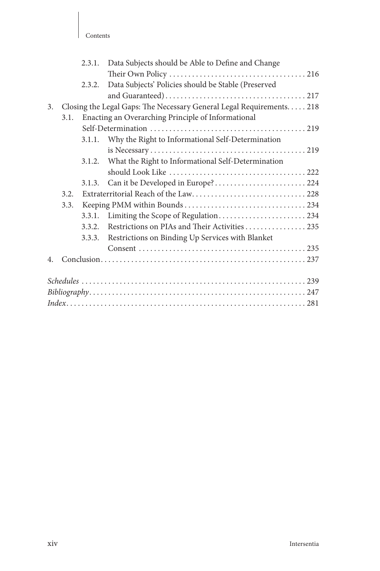| nnrenrs |
|---------|
|---------|

|    |      | 2.3.1. | Data Subjects should be Able to Define and Change                     |
|----|------|--------|-----------------------------------------------------------------------|
|    |      |        |                                                                       |
|    |      | 2.3.2. | Data Subjects' Policies should be Stable (Preserved                   |
|    |      |        |                                                                       |
| 3. |      |        | Closing the Legal Gaps: The Necessary General Legal Requirements. 218 |
|    | 3.1. |        | Enacting an Overarching Principle of Informational                    |
|    |      |        |                                                                       |
|    |      | 3.1.1. | Why the Right to Informational Self-Determination                     |
|    |      |        |                                                                       |
|    |      |        | 3.1.2. What the Right to Informational Self-Determination             |
|    |      |        |                                                                       |
|    |      | 3.1.3. | Can it be Developed in Europe? 224                                    |
|    | 3.2. |        |                                                                       |
|    | 3.3. |        |                                                                       |
|    |      | 3.3.1. | Limiting the Scope of Regulation 234                                  |
|    |      | 3.3.2. | Restrictions on PIAs and Their Activities 235                         |
|    |      | 3.3.3. | Restrictions on Binding Up Services with Blanket                      |
|    |      |        |                                                                       |
| 4. |      |        |                                                                       |
|    |      |        |                                                                       |
|    |      |        |                                                                       |
|    |      |        |                                                                       |
|    |      |        |                                                                       |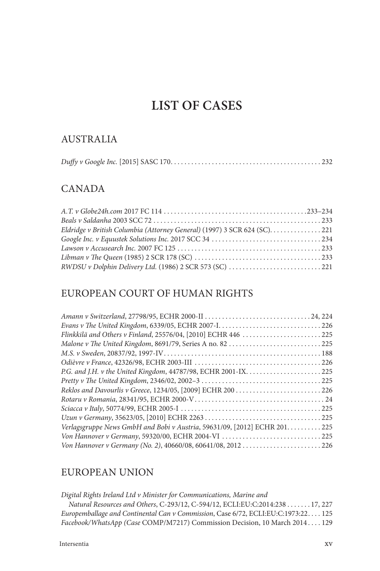## **LIST OF CASES**

#### AUSTRALIA

|--|--|--|

#### CANADA

| Eldridge v British Columbia (Attorney General) (1997) 3 SCR 624 (SC). 221 |  |
|---------------------------------------------------------------------------|--|
|                                                                           |  |
|                                                                           |  |
|                                                                           |  |
|                                                                           |  |

#### EUROPEAN COURT OF HUMAN RIGHTS

| Flinkkilä and Others v Finland, 25576/04, [2010] ECHR 446 225            |  |
|--------------------------------------------------------------------------|--|
| Malone v The United Kingdom, 8691/79, Series A no. 82 225                |  |
|                                                                          |  |
|                                                                          |  |
|                                                                          |  |
|                                                                          |  |
|                                                                          |  |
|                                                                          |  |
|                                                                          |  |
|                                                                          |  |
| Verlagsgruppe News GmbH and Bobi v Austria, 59631/09, [2012] ECHR 201225 |  |
|                                                                          |  |
| Von Hannover v Germany (No. 2), 40660/08, 60641/08, 2012 226             |  |

#### EUROPEAN UNION

*Digital Rights Ireland Ltd v Minister for Communications, Marine and Natural Resources and Others* , C-293/12, C-594/12, ECLI:EU:C:2014:238 . . . . . . . 17 , 227 *Europemballage and Continental Can v Commission* , Case 6/72, ECLI:EU:C:1973:22 . . . . 125 *Facebook/WhatsApp (Case* COMP/M7217) Commission Decision, 10 March 2014 . . . . 129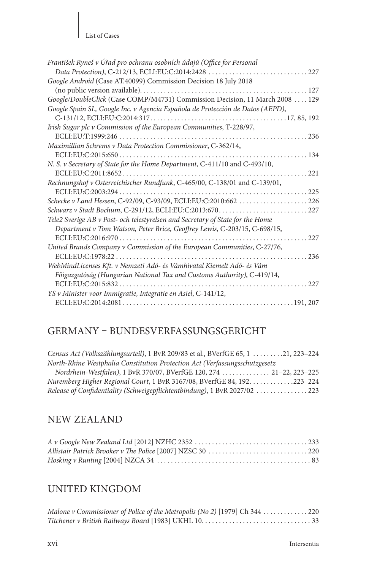#### List of Cases

| František Ryneš v Úřad pro ochranu osobních údajů (Office for Personal         |
|--------------------------------------------------------------------------------|
|                                                                                |
| Google Android (Case AT.40099) Commission Decision 18 July 2018                |
|                                                                                |
| Google/DoubleClick (Case COMP/M4731) Commission Decision, 11 March 2008 129    |
| Google Spain SL, Google Inc. v Agencia Española de Protección de Datos (AEPD), |
|                                                                                |
| Irish Sugar plc v Commission of the European Communities, T-228/97,            |
|                                                                                |
| Maximillian Schrems v Data Protection Commissioner, C-362/14,                  |
|                                                                                |
| N. S. v Secretary of State for the Home Department, C-411/10 and C-493/10,     |
|                                                                                |
| Rechnungshof v Osterreichischer Rundfunk, C-465/00, C-138/01 and C-139/01,     |
|                                                                                |
| Schecke v Land Hessen, C-92/09, C-93/09, ECLI:EU:C:2010:662 226                |
| Schwarz v Stadt Bochum, C-291/12, ECLI:EU:C:2013:670227                        |
| Tele2 Sverige AB v Post- och telestyrelsen and Secretary of State for the Home |
| Department v Tom Watson, Peter Brice, Geoffrey Lewis, C-203/15, C-698/15,      |
|                                                                                |
| United Brands Company v Commission of the European Communities, C-27/76,       |
|                                                                                |
| WebMindLicenses Kft. v Nemzeti Adó- és Vámhivatal Kiemelt Adó- és Vám          |
| Főigazgatóság (Hungarian National Tax and Customs Authority), C-419/14,        |
|                                                                                |
| YS v Minister voor Immigratie, Integratie en Asiel, C-141/12,                  |
|                                                                                |

### GERMANY – BUNDESVERFASSUNGSGERICHT

| Census Act (Volkszählungsurteil), 1 BvR 209/83 et al., BVerfGE 65, 1 21, 223–224 |  |
|----------------------------------------------------------------------------------|--|
| North-Rhine Westphalia Constitution Protection Act (Verfassungsschutzgesetz      |  |
| Nordrhein-Westfalen), 1 BvR 370/07, BVerfGE 120, 274  21-22, 223-225             |  |
| Nuremberg Higher Regional Court, 1 BvR 3167/08, BVerfGE 84, 192223-224           |  |
| Release of Confidentiality (Schweigepflichtentbindung), 1 BvR 2027/02 223        |  |

### NEW ZEALAND

### UNITED KINGDOM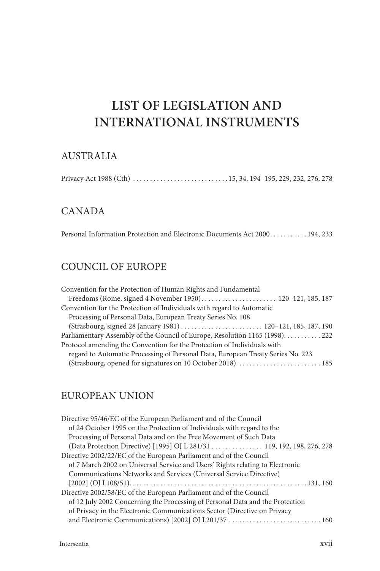## **LIST OF LEGISLATION AND INTERNATIONAL INSTRUMENTS**

#### AUSTRALIA

Privacy Act 1988 (Cth) . . . . . . . . . . . . . . . . . . . . . . . . . . . . 15 , 34 , 194 – 195 , 229 , 232 , 276 , 278

#### CANADA

Personal Information Protection and Electronic Documents Act 2000 . . . . . . . . . . . 194 , 233

### COUNCIL OF EUROPE

| Convention for the Protection of Human Rights and Fundamental                   |
|---------------------------------------------------------------------------------|
| Freedoms (Rome, signed 4 November 1950) 120-121, 185, 187                       |
| Convention for the Protection of Individuals with regard to Automatic           |
| Processing of Personal Data, European Treaty Series No. 108                     |
|                                                                                 |
| Parliamentary Assembly of the Council of Europe, Resolution 1165 (1998)222      |
| Protocol amending the Convention for the Protection of Individuals with         |
| regard to Automatic Processing of Personal Data, European Treaty Series No. 223 |
| (Strasbourg, opened for signatures on 10 October 2018)  185                     |

#### EUROPEAN UNION

| Directive 95/46/EC of the European Parliament and of the Council              |
|-------------------------------------------------------------------------------|
| of 24 October 1995 on the Protection of Individuals with regard to the        |
| Processing of Personal Data and on the Free Movement of Such Data             |
|                                                                               |
| Directive 2002/22/EC of the European Parliament and of the Council            |
| of 7 March 2002 on Universal Service and Users' Rights relating to Electronic |
| Communications Networks and Services (Universal Service Directive)            |
|                                                                               |
| Directive 2002/58/EC of the European Parliament and of the Council            |
| of 12 July 2002 Concerning the Processing of Personal Data and the Protection |
| of Privacy in the Electronic Communications Sector (Directive on Privacy      |
|                                                                               |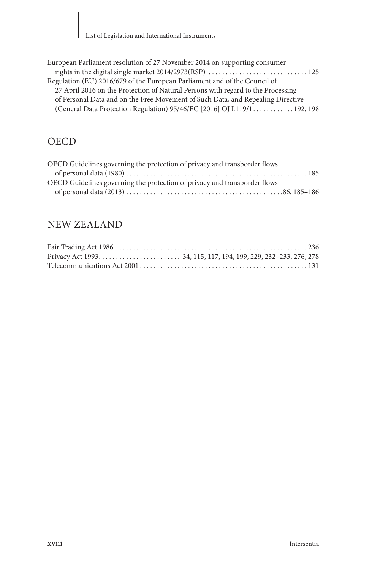List of Legislation and International Instruments

| European Parliament resolution of 27 November 2014 on supporting consumer        |
|----------------------------------------------------------------------------------|
| rights in the digital single market 2014/2973(RSP)  125                          |
| Regulation (EU) 2016/679 of the European Parliament and of the Council of        |
| 27 April 2016 on the Protection of Natural Persons with regard to the Processing |
| of Personal Data and on the Free Movement of Such Data, and Repealing Directive  |
| (General Data Protection Regulation) 95/46/EC [2016] OJ L119/1192, 198           |

### **OECD**

| OECD Guidelines governing the protection of privacy and transborder flows |  |
|---------------------------------------------------------------------------|--|
|                                                                           |  |
| OECD Guidelines governing the protection of privacy and transborder flows |  |
|                                                                           |  |

### NEW ZEALAND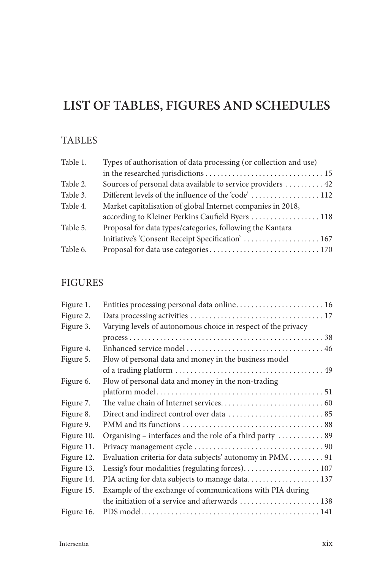## **LIST OF TABLES, FIGURES AND SCHEDULES**

### TABLES

| Table 1. | Types of authorisation of data processing (or collection and use) |  |
|----------|-------------------------------------------------------------------|--|
|          |                                                                   |  |
| Table 2. | Sources of personal data available to service providers  42       |  |
| Table 3. |                                                                   |  |
| Table 4. | Market capitalisation of global Internet companies in 2018,       |  |
|          | according to Kleiner Perkins Caufield Byers  118                  |  |
| Table 5. | Proposal for data types/categories, following the Kantara         |  |
|          | Initiative's 'Consent Receipt Specification'  167                 |  |
| Table 6. |                                                                   |  |
|          |                                                                   |  |

#### FIGURES

| Figure 1.  | Entities processing personal data online 16                   |  |
|------------|---------------------------------------------------------------|--|
| Figure 2.  |                                                               |  |
| Figure 3.  | Varying levels of autonomous choice in respect of the privacy |  |
|            |                                                               |  |
| Figure 4.  |                                                               |  |
| Figure 5.  | Flow of personal data and money in the business model         |  |
|            |                                                               |  |
| Figure 6.  | Flow of personal data and money in the non-trading            |  |
|            |                                                               |  |
| Figure 7.  |                                                               |  |
| Figure 8.  | Direct and indirect control over data  85                     |  |
| Figure 9.  |                                                               |  |
| Figure 10. | Organising - interfaces and the role of a third party  89     |  |
| Figure 11. |                                                               |  |
| Figure 12. | Evaluation criteria for data subjects' autonomy in PMM 91     |  |
| Figure 13. | Lessig's four modalities (regulating forces) 107              |  |
| Figure 14. |                                                               |  |
| Figure 15. | Example of the exchange of communications with PIA during     |  |
|            | the initiation of a service and afterwards  138               |  |
| Figure 16. |                                                               |  |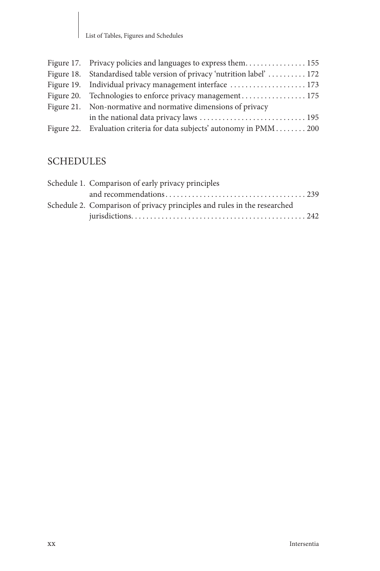| Figure 18. Standardised table version of privacy 'nutrition label' 172 |
|------------------------------------------------------------------------|
| Figure 19. Individual privacy management interface  173                |
|                                                                        |
| Figure 21. Non-normative and normative dimensions of privacy           |
|                                                                        |
| Figure 22. Evaluation criteria for data subjects' autonomy in PMM200   |

#### SCHEDULES

| Schedule 1. Comparison of early privacy principles                       |  |
|--------------------------------------------------------------------------|--|
|                                                                          |  |
| Schedule 2. Comparison of privacy principles and rules in the researched |  |
|                                                                          |  |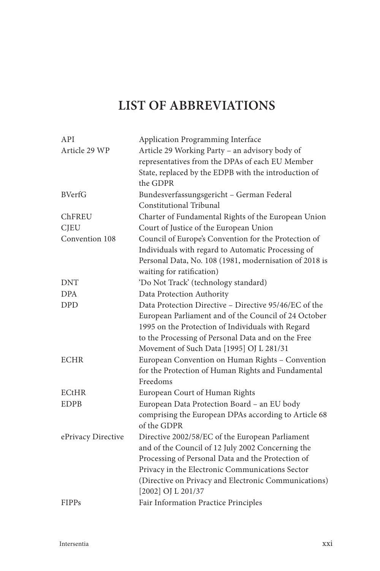## **LIST OF ABBREVIATIONS**

| API                | Application Programming Interface                      |
|--------------------|--------------------------------------------------------|
| Article 29 WP      | Article 29 Working Party - an advisory body of         |
|                    | representatives from the DPAs of each EU Member        |
|                    | State, replaced by the EDPB with the introduction of   |
|                    | the GDPR                                               |
| <b>BVerfG</b>      | Bundesverfassungsgericht - German Federal              |
|                    | Constitutional Tribunal                                |
| ChFREU             | Charter of Fundamental Rights of the European Union    |
| <b>CJEU</b>        | Court of Justice of the European Union                 |
| Convention 108     | Council of Europe's Convention for the Protection of   |
|                    | Individuals with regard to Automatic Processing of     |
|                    | Personal Data, No. 108 (1981, modernisation of 2018 is |
|                    | waiting for ratification)                              |
| <b>DNT</b>         | 'Do Not Track' (technology standard)                   |
| <b>DPA</b>         | Data Protection Authority                              |
| <b>DPD</b>         | Data Protection Directive - Directive 95/46/EC of the  |
|                    | European Parliament and of the Council of 24 October   |
|                    | 1995 on the Protection of Individuals with Regard      |
|                    | to the Processing of Personal Data and on the Free     |
|                    | Movement of Such Data [1995] OJ L 281/31               |
| <b>ECHR</b>        | European Convention on Human Rights - Convention       |
|                    | for the Protection of Human Rights and Fundamental     |
|                    | Freedoms                                               |
| <b>ECtHR</b>       | European Court of Human Rights                         |
| <b>EDPB</b>        | European Data Protection Board - an EU body            |
|                    | comprising the European DPAs according to Article 68   |
|                    | of the GDPR                                            |
| ePrivacy Directive | Directive 2002/58/EC of the European Parliament        |
|                    | and of the Council of 12 July 2002 Concerning the      |
|                    | Processing of Personal Data and the Protection of      |
|                    | Privacy in the Electronic Communications Sector        |
|                    | (Directive on Privacy and Electronic Communications)   |
|                    | [2002] OJ L 201/37                                     |
| <b>FIPPs</b>       | Fair Information Practice Principles                   |
|                    |                                                        |